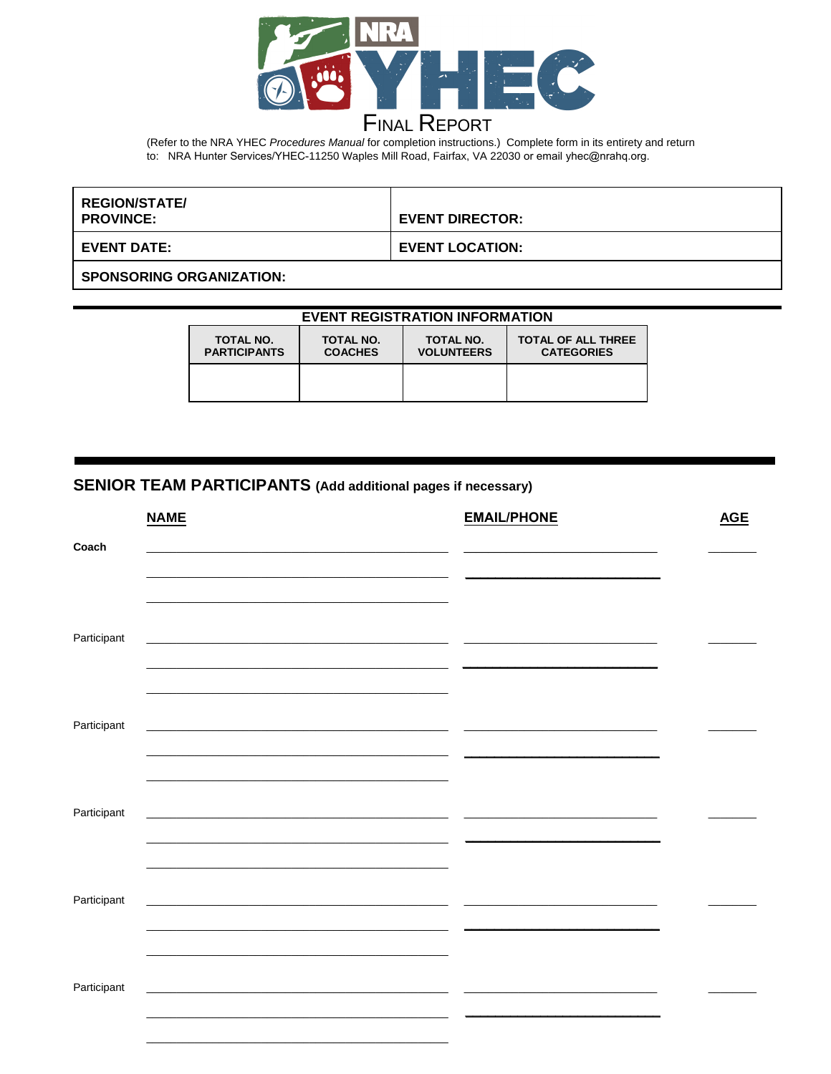

# **FINAL REPORT**

(Refer to the NRA YHEC Procedures Manual for completion instructions.) Complete form in its entirety and return to: NRA Hunter Services/YHEC-11250 Waples Mill Road, Fairfax, VA 22030 or email yhec@nrahq.org.

| <b>REGION/STATE/</b><br><b>PROVINCE:</b> | <b>EVENT DIRECTOR:</b> |
|------------------------------------------|------------------------|
| <b>EVENT DATE:</b>                       | <b>EVENT LOCATION:</b> |
| <b>SPONSORING ORGANIZATION:</b>          |                        |

### **EVENT REGISTRATION INFORMATION**

| <b>TOTAL NO.</b>    | <b>TOTAL NO.</b> | TOTAL NO.         | <b>TOTAL OF ALL THREE</b> |
|---------------------|------------------|-------------------|---------------------------|
| <b>PARTICIPANTS</b> | <b>COACHES</b>   | <b>VOLUNTEERS</b> | <b>CATEGORIES</b>         |
|                     |                  |                   |                           |

### SENIOR TEAM PARTICIPANTS (Add additional pages if necessary)

|             | <b>NAME</b>                                                                                                                                                                                                                           | <b>EMAIL/PHONE</b> | <b>AGE</b> |
|-------------|---------------------------------------------------------------------------------------------------------------------------------------------------------------------------------------------------------------------------------------|--------------------|------------|
| Coach       |                                                                                                                                                                                                                                       |                    |            |
|             |                                                                                                                                                                                                                                       |                    |            |
|             |                                                                                                                                                                                                                                       |                    |            |
|             |                                                                                                                                                                                                                                       |                    |            |
| Participant |                                                                                                                                                                                                                                       |                    |            |
|             | <u> 1980 - Johann Stoff, deutscher Stoff, der Stoff, der Stoff, der Stoff, der Stoff, der Stoff, der Stoff, der S</u>                                                                                                                 |                    |            |
|             |                                                                                                                                                                                                                                       |                    |            |
|             |                                                                                                                                                                                                                                       |                    |            |
| Participant | <u> 1980 - Johann Barn, fransk politik (f. 1980)</u>                                                                                                                                                                                  |                    |            |
|             |                                                                                                                                                                                                                                       |                    |            |
|             |                                                                                                                                                                                                                                       |                    |            |
|             |                                                                                                                                                                                                                                       |                    |            |
| Participant | <u> 1989 - Jan Samuel Barbara, menyebaran banyak banyak banyak di sebagai banyak di sebagai banyak di sebagai ba</u>                                                                                                                  |                    |            |
|             | $\overline{\phantom{a}}$                                                                                                                                                                                                              |                    |            |
|             |                                                                                                                                                                                                                                       |                    |            |
|             |                                                                                                                                                                                                                                       |                    |            |
| Participant | the control of the control of the control of the control of the control of the control of the control of the control of the control of the control of the control of the control of the control of the control of the control<br>__ _ |                    |            |
|             | __ _                                                                                                                                                                                                                                  |                    |            |
|             |                                                                                                                                                                                                                                       |                    |            |
|             |                                                                                                                                                                                                                                       |                    |            |
| Participant | ÷.                                                                                                                                                                                                                                    |                    |            |
|             |                                                                                                                                                                                                                                       |                    |            |
|             |                                                                                                                                                                                                                                       |                    |            |
|             |                                                                                                                                                                                                                                       |                    |            |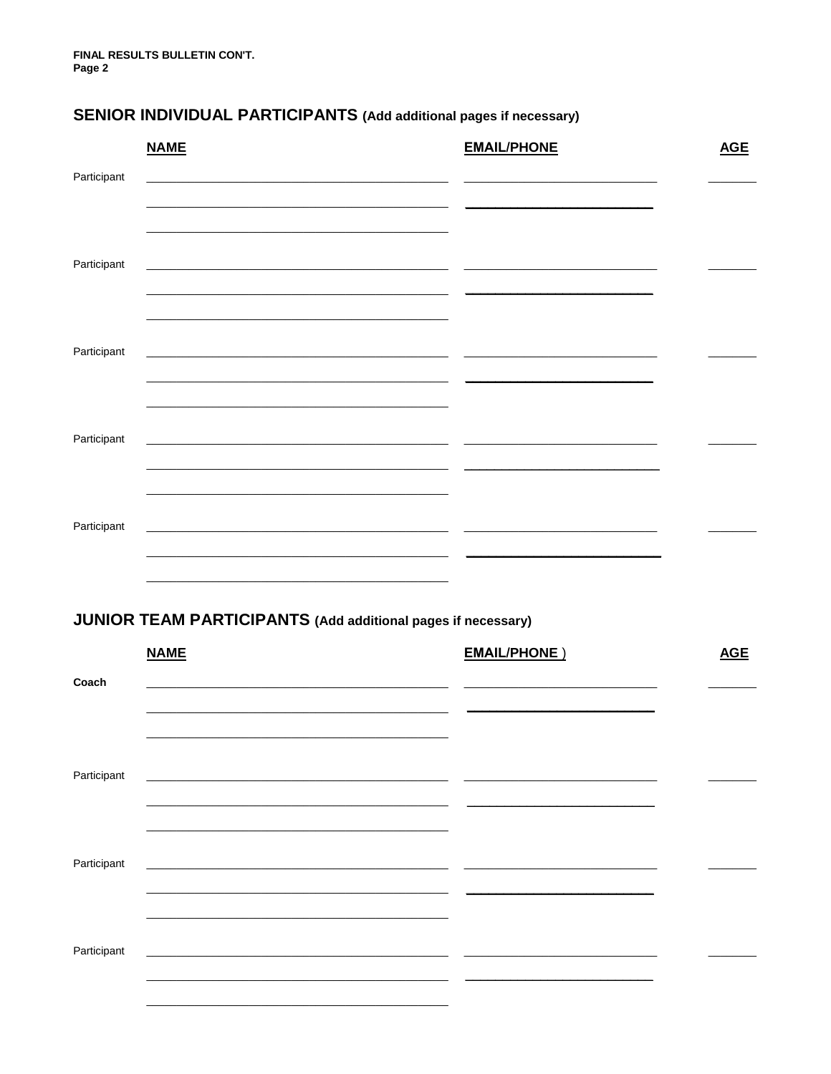## **SENIOR INDIVIDUAL PARTICIPANTS (Add additional pages if necessary)**

|             | <b>NAME</b>                                                                                                                                                                                    | <b>EMAIL/PHONE</b> | <b>AGE</b> |
|-------------|------------------------------------------------------------------------------------------------------------------------------------------------------------------------------------------------|--------------------|------------|
| Participant |                                                                                                                                                                                                |                    |            |
| Participant |                                                                                                                                                                                                |                    |            |
| Participant | $\overline{\phantom{a}}$                                                                                                                                                                       |                    |            |
| Participant | <u> 1989 - Andrea Santa Andrea Andrea Andrea Andrea Andrea Andrea Andrea Andrea Andrea Andrea Andrea Andrea Andr</u><br><u> 2000 - Jan Samuel Barbara, margaret eta biztanleria (h. 1878).</u> |                    |            |
| Participant | $\overline{\phantom{a}}$                                                                                                                                                                       |                    |            |

## **JUNIOR TEAM PARTICIPANTS (Add additional pages if necessary)**

|             | <b>NAME</b>                                                                                                                                                                                                                          | <b>EMAIL/PHONE</b> )     | <b>AGE</b> |
|-------------|--------------------------------------------------------------------------------------------------------------------------------------------------------------------------------------------------------------------------------------|--------------------------|------------|
| Coach       | <u> 1990 - Andrea Andrews, Amerikaansk politik (* 1950)</u>                                                                                                                                                                          |                          |            |
|             | <u> 1989 - Johann Stoff, deutscher Stoff, der Stoff, der Stoff, der Stoff, der Stoff, der Stoff, der Stoff, der S</u>                                                                                                                | $\sim$                   |            |
|             |                                                                                                                                                                                                                                      |                          |            |
| Participant | <u> 1980 - Johann Harry Harry Harry Harry Harry Harry Harry Harry Harry Harry Harry Harry Harry Harry Harry Harry Harry Harry Harry Harry Harry Harry Harry Harry Harry Harry Harry Harry Harry Harry Harry Harry Harry Harry Ha</u> | $\overline{\phantom{0}}$ |            |
|             |                                                                                                                                                                                                                                      |                          |            |
| Participant |                                                                                                                                                                                                                                      |                          |            |
|             |                                                                                                                                                                                                                                      |                          |            |
|             |                                                                                                                                                                                                                                      |                          |            |
| Participant |                                                                                                                                                                                                                                      |                          |            |
|             |                                                                                                                                                                                                                                      |                          |            |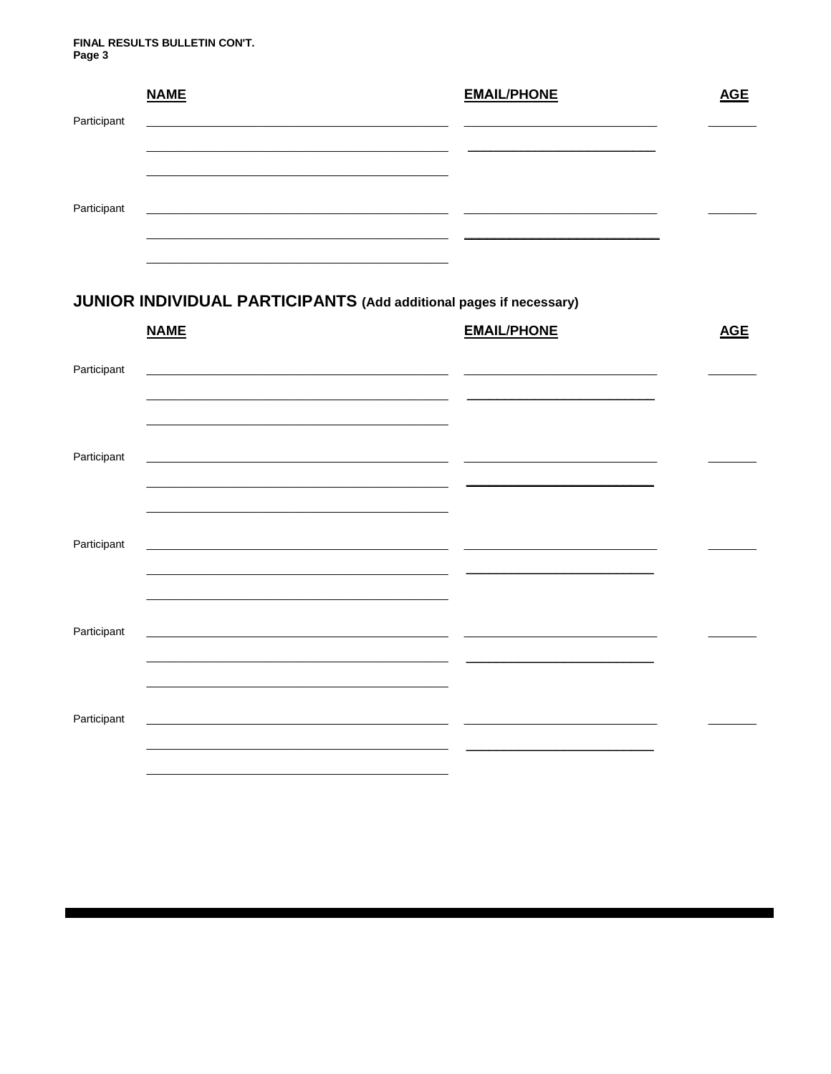#### FINAL RESULTS BULLETIN CON'T. Page 3

|             | <b>NAME</b> | <b>EMAIL/PHONE</b> | <b>AGE</b> |
|-------------|-------------|--------------------|------------|
| Participant |             |                    |            |
|             |             |                    |            |
|             |             |                    |            |
| Participant |             |                    |            |
|             |             |                    |            |
|             |             |                    |            |

## JUNIOR INDIVIDUAL PARTICIPANTS (Add additional pages if necessary)

|             | <b>NAME</b>                                                                        | <b>EMAIL/PHONE</b> | <b>AGE</b> |
|-------------|------------------------------------------------------------------------------------|--------------------|------------|
| Participant | <u> 1989 - Jan Berlin, Amerikaansk politiker (* 1918)</u>                          |                    |            |
| Participant |                                                                                    |                    |            |
| Participant |                                                                                    |                    |            |
| Participant | <u> 1980 - Jan Barnett, fransk politik (d. 1980)</u>                               |                    |            |
| Participant | <u> 1999 - Jan Barnett, fransk politiker (d. 1989)</u><br>$\overline{\phantom{0}}$ |                    |            |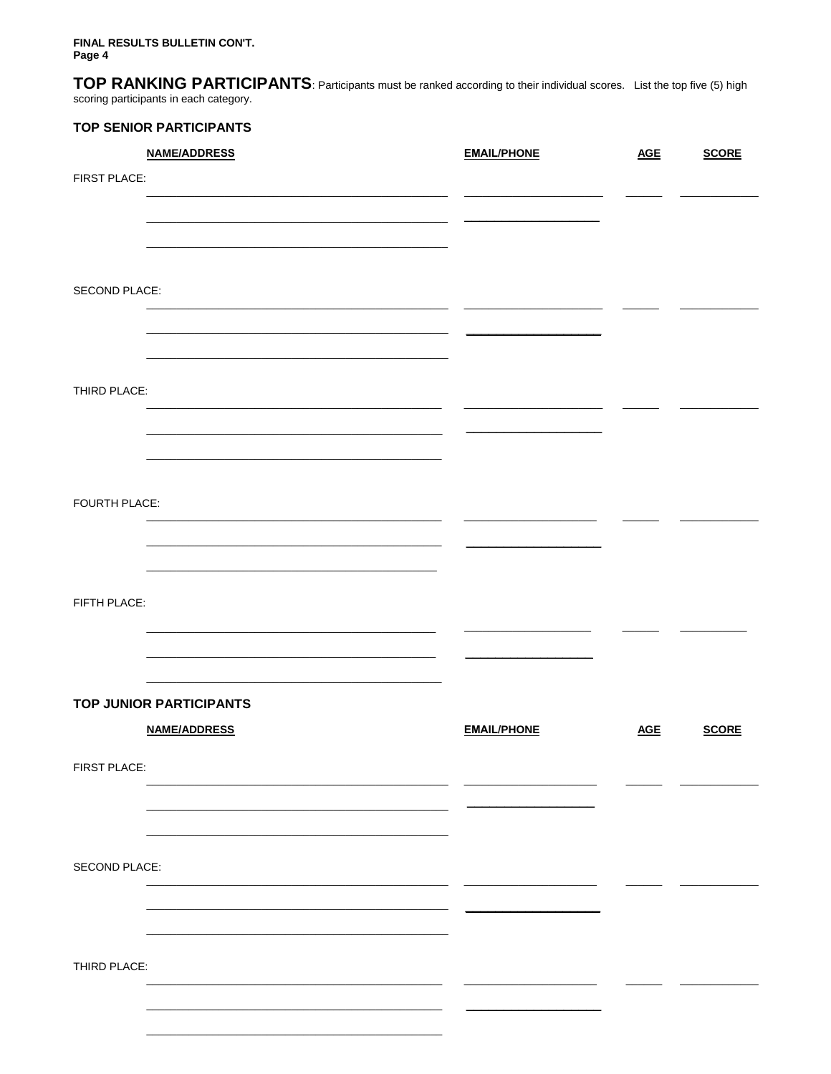FINAL RESULTS BULLETIN CON'T. Page 4

TOP RANKING PARTICIPANTS: Participants must be ranked according to their individual scores. List the top five (5) high scoring participants in each category.

### **TOP SENIOR PARTICIPANTS**

|               | <b>NAME/ADDRESS</b>            | <b>EMAIL/PHONE</b> | <b>AGE</b> | <b>SCORE</b> |
|---------------|--------------------------------|--------------------|------------|--------------|
| FIRST PLACE:  |                                |                    |            |              |
|               |                                |                    |            |              |
|               |                                |                    |            |              |
|               |                                |                    |            |              |
|               |                                |                    |            |              |
| SECOND PLACE: |                                |                    |            |              |
|               |                                |                    |            |              |
|               |                                |                    |            |              |
|               |                                |                    |            |              |
| THIRD PLACE:  |                                |                    |            |              |
|               |                                |                    |            |              |
|               |                                |                    |            |              |
|               |                                |                    |            |              |
|               |                                |                    |            |              |
| FOURTH PLACE: |                                |                    |            |              |
|               |                                |                    |            |              |
|               |                                |                    |            |              |
|               |                                |                    |            |              |
| FIFTH PLACE:  |                                |                    |            |              |
|               |                                |                    |            |              |
|               |                                |                    |            |              |
|               |                                |                    |            |              |
|               | <b>TOP JUNIOR PARTICIPANTS</b> |                    |            |              |
|               | <b>NAME/ADDRESS</b>            | <b>EMAIL/PHONE</b> | <b>AGE</b> | <b>SCORE</b> |
| FIRST PLACE:  |                                |                    |            |              |
|               |                                |                    |            |              |
|               |                                |                    |            |              |
|               |                                |                    |            |              |
|               |                                |                    |            |              |
| SECOND PLACE: |                                |                    |            |              |
|               |                                |                    |            |              |
|               |                                |                    |            |              |
|               |                                |                    |            |              |
| THIRD PLACE:  |                                |                    |            |              |
|               |                                |                    |            |              |
|               |                                |                    |            |              |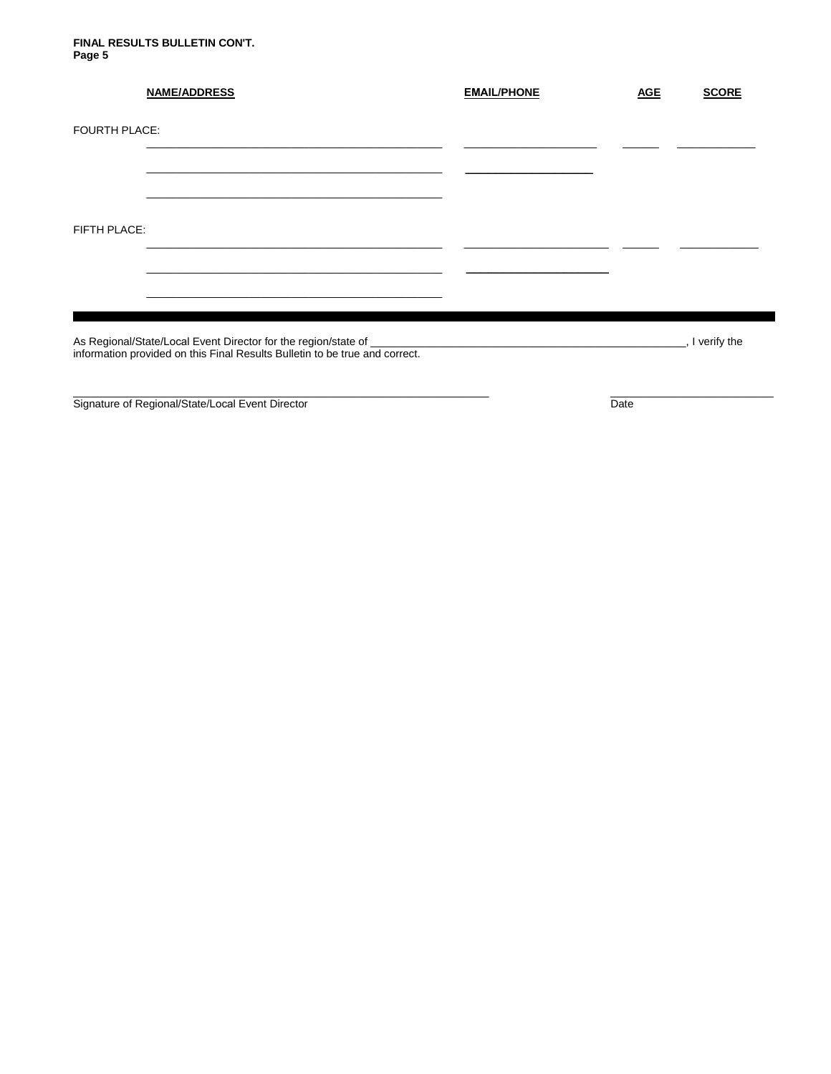#### **FINAL RESULTS BULLETIN CON'T. Page 5**

|                      | <b>NAME/ADDRESS</b>                                                         | <b>EMAIL/PHONE</b> | <b>AGE</b> | <b>SCORE</b>    |
|----------------------|-----------------------------------------------------------------------------|--------------------|------------|-----------------|
| <b>FOURTH PLACE:</b> |                                                                             |                    |            |                 |
|                      |                                                                             |                    |            |                 |
| FIFTH PLACE:         |                                                                             |                    |            |                 |
|                      |                                                                             |                    |            |                 |
|                      | information provided on this Final Results Bulletin to be true and correct. |                    |            | _, I verify the |

 $\_$  ,  $\_$  ,  $\_$  ,  $\_$  ,  $\_$  ,  $\_$  ,  $\_$  ,  $\_$  ,  $\_$  ,  $\_$  ,  $\_$  ,  $\_$  ,  $\_$  ,  $\_$  ,  $\_$  ,  $\_$  ,  $\_$  ,  $\_$  ,  $\_$  ,  $\_$  ,  $\_$  ,  $\_$  ,  $\_$  ,  $\_$  ,  $\_$  ,  $\_$  ,  $\_$  ,  $\_$  ,  $\_$  ,  $\_$  ,  $\_$  ,  $\_$  ,  $\_$  ,  $\_$  ,  $\_$  ,  $\_$  ,  $\_$  ,

Signature of Regional/State/Local Event Director **Date and Contact Contact Contact Contact Contact Contact Conta**